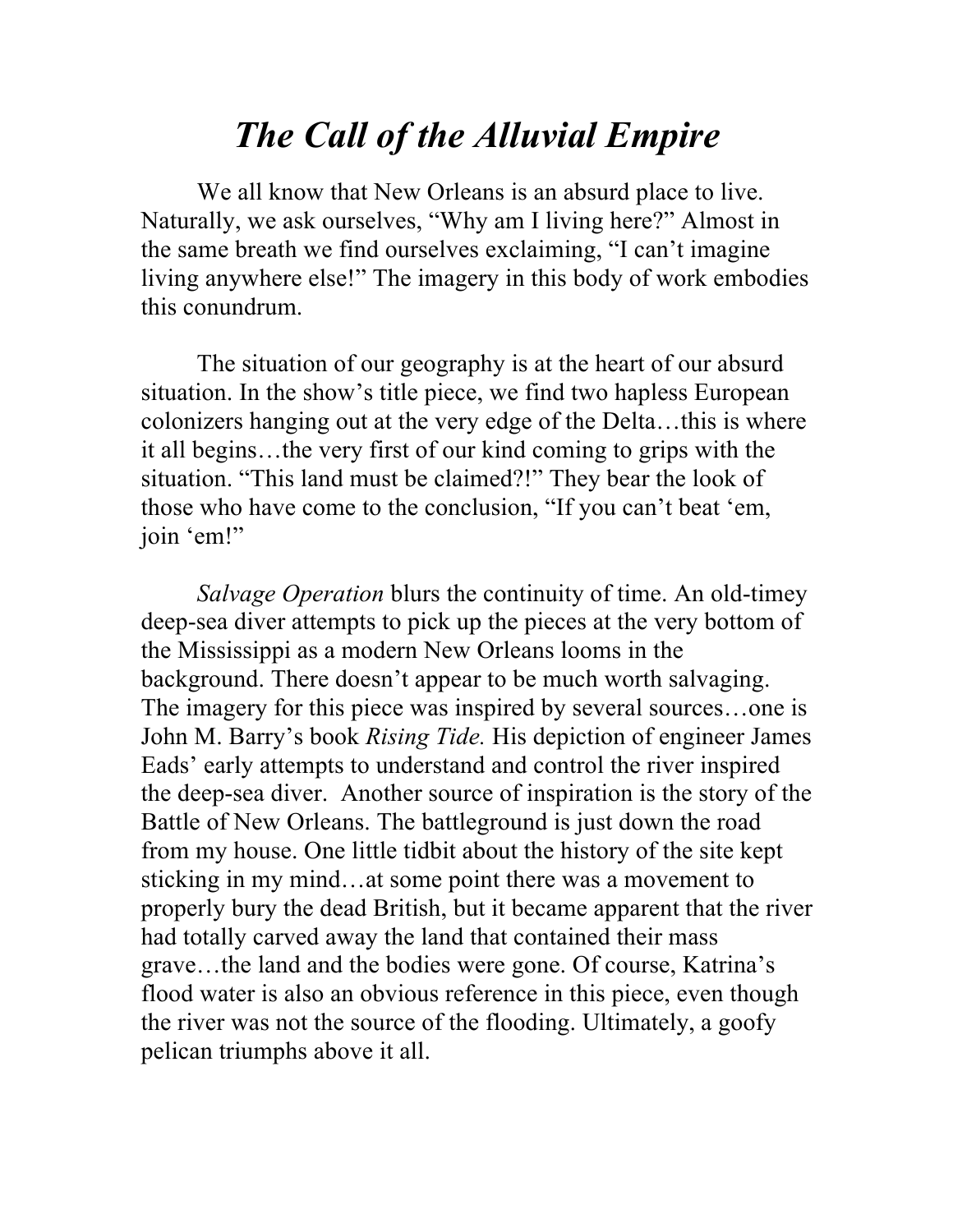## *The Call of the Alluvial Empire*

We all know that New Orleans is an absurd place to live. Naturally, we ask ourselves, "Why am I living here?" Almost in the same breath we find ourselves exclaiming, "I can't imagine living anywhere else!" The imagery in this body of work embodies this conundrum.

The situation of our geography is at the heart of our absurd situation. In the show's title piece, we find two hapless European colonizers hanging out at the very edge of the Delta…this is where it all begins…the very first of our kind coming to grips with the situation. "This land must be claimed?!" They bear the look of those who have come to the conclusion, "If you can't beat 'em, join 'em!"

*Salvage Operation* blurs the continuity of time. An old-timey deep-sea diver attempts to pick up the pieces at the very bottom of the Mississippi as a modern New Orleans looms in the background. There doesn't appear to be much worth salvaging. The imagery for this piece was inspired by several sources…one is John M. Barry's book *Rising Tide.* His depiction of engineer James Eads' early attempts to understand and control the river inspired the deep-sea diver. Another source of inspiration is the story of the Battle of New Orleans. The battleground is just down the road from my house. One little tidbit about the history of the site kept sticking in my mind…at some point there was a movement to properly bury the dead British, but it became apparent that the river had totally carved away the land that contained their mass grave…the land and the bodies were gone. Of course, Katrina's flood water is also an obvious reference in this piece, even though the river was not the source of the flooding. Ultimately, a goofy pelican triumphs above it all.